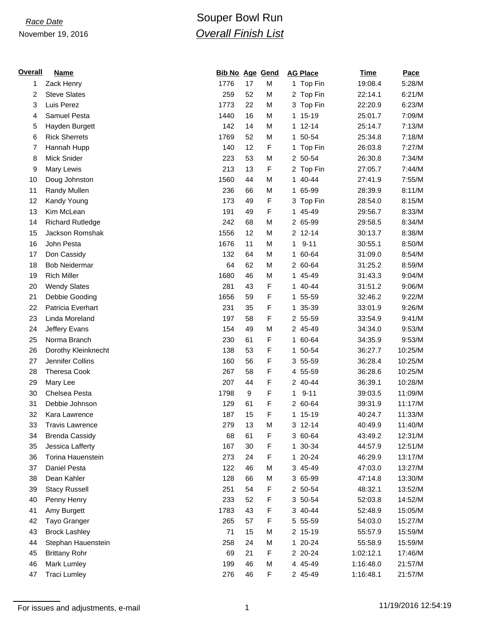## November 19, 2016

## *Race Date* **Comparison Control Comparison Souper Bowl Run** *Overall Finish List*

| <b>Overall</b> | <b>Name</b>             | <b>Bib No Age Gend</b> |    |   |              | <b>AG Place</b> | <b>Time</b> | Pace    |
|----------------|-------------------------|------------------------|----|---|--------------|-----------------|-------------|---------|
| 1              | Zack Henry              | 1776                   | 17 | M |              | 1 Top Fin       | 19:08.4     | 5:28/M  |
| 2              | <b>Steve Slates</b>     | 259                    | 52 | M |              | 2 Top Fin       | 22:14.1     | 6:21/M  |
| 3              | Luis Perez              | 1773                   | 22 | M |              | 3 Top Fin       | 22:20.9     | 6:23/M  |
| 4              | Samuel Pesta            | 1440                   | 16 | M |              | 1 15-19         | 25:01.7     | 7:09/M  |
| 5              | Hayden Burgett          | 142                    | 14 | M |              | 1 12-14         | 25:14.7     | 7:13/M  |
| 6              | <b>Rick Sherrets</b>    | 1769                   | 52 | M | 1.           | 50-54           | 25:34.8     | 7:18/M  |
| 7              | Hannah Hupp             | 140                    | 12 | F |              | 1 Top Fin       | 26:03.8     | 7:27/M  |
| 8              | Mick Snider             | 223                    | 53 | M |              | 2 50-54         | 26:30.8     | 7:34/M  |
| 9              | Mary Lewis              | 213                    | 13 | F |              | 2 Top Fin       | 27:05.7     | 7:44/M  |
| 10             | Doug Johnston           | 1560                   | 44 | M |              | 1 40-44         | 27:41.9     | 7:55/M  |
| 11             | <b>Randy Mullen</b>     | 236                    | 66 | M |              | 1 65-99         | 28:39.9     | 8:11/M  |
| 12             | Kandy Young             | 173                    | 49 | F |              | 3 Top Fin       | 28:54.0     | 8:15/M  |
| 13             | Kim McLean              | 191                    | 49 | F |              | 1 45-49         | 29:56.7     | 8:33/M  |
| 14             | <b>Richard Rutledge</b> | 242                    | 68 | M |              | 2 65-99         | 29:58.5     | 8:34/M  |
| 15             | Jackson Romshak         | 1556                   | 12 | M |              | 2 12-14         | 30:13.7     | 8:38/M  |
| 16             | John Pesta              | 1676                   | 11 | M | 1            | $9 - 11$        | 30:55.1     | 8:50/M  |
| 17             | Don Cassidy             | 132                    | 64 | M |              | 1 60-64         | 31:09.0     | 8:54/M  |
| 18             | <b>Bob Neidermar</b>    | 64                     | 62 | M |              | 2 60-64         | 31:25.2     | 8:59/M  |
| 19             | <b>Rich Miller</b>      | 1680                   | 46 | M |              | 1 45-49         | 31:43.3     | 9:04/M  |
| 20             | <b>Wendy Slates</b>     | 281                    | 43 | F |              | 1 40-44         | 31:51.2     | 9:06/M  |
| 21             | Debbie Gooding          | 1656                   | 59 | F |              | 1 55-59         | 32:46.2     | 9:22/M  |
| 22             | Patricia Everhart       | 231                    | 35 | F | $\mathbf{1}$ | 35-39           | 33:01.9     | 9:26/M  |
| 23             | Linda Moreland          | 197                    | 58 | F |              | 2 55-59         | 33:54.9     | 9:41/M  |
| 24             | Jeffery Evans           | 154                    | 49 | M |              | 2 45-49         | 34:34.0     | 9:53/M  |
| 25             | Norma Branch            | 230                    | 61 | F |              | 1 60-64         | 34:35.9     | 9:53/M  |
| 26             | Dorothy Kleinknecht     | 138                    | 53 | F |              | 1 50-54         | 36:27.7     | 10:25/M |
| 27             | Jennifer Collins        | 160                    | 56 | F |              | 3 55-59         | 36:28.4     | 10:25/M |
| 28             | <b>Theresa Cook</b>     | 267                    | 58 | F |              | 4 55-59         | 36:28.6     | 10:25/M |
| 29             | Mary Lee                | 207                    | 44 | F |              | 2 40-44         | 36:39.1     | 10:28/M |
| 30             | Chelsea Pesta           | 1798                   | 9  | F | $\mathbf{1}$ | $9 - 11$        | 39:03.5     | 11:09/M |
| 31             | Debbie Johnson          | 129                    | 61 | F |              | 2 60-64         | 39:31.9     | 11:17/M |
| 32             | Kara Lawrence           | 187                    | 15 | F |              | 1 15-19         | 40:24.7     | 11:33/M |
| 33             | <b>Travis Lawrence</b>  | 279                    | 13 | M |              | 3 12-14         | 40:49.9     | 11:40/M |
| 34             | <b>Brenda Cassidy</b>   | 68                     | 61 | F |              | 3 60-64         | 43:49.2     | 12:31/M |
| 35             | Jessica Lafferty        | 167                    | 30 | F |              | 1 30-34         | 44:57.9     | 12:51/M |
| 36             | Torina Hauenstein       | 273                    | 24 | F |              | 1 20-24         | 46:29.9     | 13:17/M |
| 37             | Daniel Pesta            | 122                    | 46 | M |              | 3 45-49         | 47:03.0     | 13:27/M |
| 38             | Dean Kahler             | 128                    | 66 | M |              | 3 65-99         | 47:14.8     | 13:30/M |
| 39             | <b>Stacy Russell</b>    | 251                    | 54 | F |              | 2 50-54         | 48:32.1     | 13:52/M |
| 40             | Penny Henry             | 233                    | 52 | F |              | 3 50-54         | 52:03.8     | 14:52/M |
| 41             | Amy Burgett             | 1783                   | 43 | F |              | 3 40-44         | 52:48.9     | 15:05/M |
| 42             | Tayo Granger            | 265                    | 57 | F |              | 5 55-59         | 54:03.0     | 15:27/M |
| 43             | <b>Brock Lashley</b>    | 71                     | 15 | M |              | 2 15-19         | 55:57.9     | 15:59/M |
| 44             | Stephan Hauenstein      | 258                    | 24 | M |              | 1 20-24         | 55:58.9     | 15:59/M |
| 45             | <b>Brittany Rohr</b>    | 69                     | 21 | F |              | 2 20-24         | 1:02:12.1   | 17:46/M |
| 46             | Mark Lumley             | 199                    | 46 | M |              | 4 45-49         | 1:16:48.0   | 21:57/M |
| 47             | <b>Traci Lumley</b>     | 276                    | 46 | F |              | 2 45-49         | 1:16:48.1   | 21:57/M |
|                |                         |                        |    |   |              |                 |             |         |

For issues and adjustments, e-mail 1 11/19/2016 12:54:19